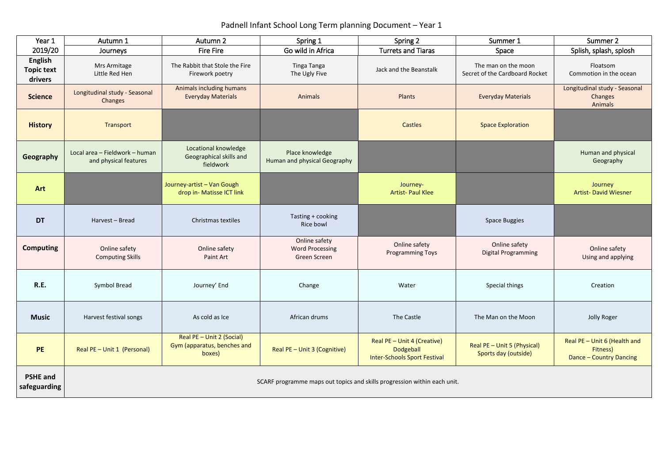## Padnell Infant School Long Term planning Document – Year 1

| Year 1                                         | Autumn 1                                                | Autumn 2                                                                 | Spring 1                                                       | Spring 2                                                                        | Summer 1                                              | Summer 2                                                            |
|------------------------------------------------|---------------------------------------------------------|--------------------------------------------------------------------------|----------------------------------------------------------------|---------------------------------------------------------------------------------|-------------------------------------------------------|---------------------------------------------------------------------|
| 2019/20                                        | <b>Fire Fire</b><br>Journeys                            |                                                                          | Go wild in Africa                                              | <b>Turrets and Tiaras</b>                                                       | Space                                                 | Splish, splash, splosh                                              |
| <b>English</b><br><b>Topic text</b><br>drivers | Mrs Armitage<br>Little Red Hen                          | The Rabbit that Stole the Fire<br>Firework poetry                        | Tinga Tanga<br>The Ugly Five                                   | Jack and the Beanstalk                                                          | The man on the moon<br>Secret of the Cardboard Rocket | Floatsom<br>Commotion in the ocean                                  |
| <b>Science</b>                                 | Longitudinal study - Seasonal<br>Changes                | Animals including humans<br><b>Everyday Materials</b>                    | Animals                                                        | Plants                                                                          | <b>Everyday Materials</b>                             | Longitudinal study - Seasonal<br>Changes<br>Animals                 |
| <b>History</b>                                 | Transport                                               |                                                                          |                                                                | Castles                                                                         | <b>Space Exploration</b>                              |                                                                     |
| Geography                                      | Local area - Fieldwork - human<br>and physical features | Locational knowledge<br>Geographical skills and<br>fieldwork             | Place knowledge<br>Human and physical Geography                |                                                                                 |                                                       | Human and physical<br>Geography                                     |
| <b>Art</b>                                     |                                                         | Journey-artist - Van Gough<br>drop in- Matisse ICT link                  |                                                                | Journey-<br><b>Artist-Paul Klee</b>                                             |                                                       | Journey<br><b>Artist- David Wiesner</b>                             |
| <b>DT</b>                                      | Harvest - Bread                                         | Christmas textiles                                                       | Tasting + cooking<br>Rice bowl                                 |                                                                                 | <b>Space Buggies</b>                                  |                                                                     |
| <b>Computing</b>                               | Online safety<br><b>Computing Skills</b>                | Online safety<br>Paint Art                                               | Online safety<br><b>Word Processing</b><br><b>Green Screen</b> | Online safety<br><b>Programming Toys</b>                                        | Online safety<br><b>Digital Programming</b>           | Online safety<br>Using and applying                                 |
| R.E.                                           | Symbol Bread                                            | Journey' End                                                             | Change                                                         | Water                                                                           | Special things                                        | Creation                                                            |
| <b>Music</b>                                   | Harvest festival songs                                  | As cold as Ice                                                           | African drums                                                  | The Castle                                                                      | The Man on the Moon                                   | Jolly Roger                                                         |
| <b>PE</b>                                      | Real PE - Unit 1 (Personal)                             | Real PE - Unit 2 (Social)<br>Gym (apparatus, benches and<br>boxes)       | Real PE - Unit 3 (Cognitive)                                   | Real PE - Unit 4 (Creative)<br>Dodgeball<br><b>Inter-Schools Sport Festival</b> | Real PE - Unit 5 (Physical)<br>Sports day (outside)   | Real PE - Unit 6 (Health and<br>Fitness)<br>Dance - Country Dancing |
| <b>PSHE and</b><br>safeguarding                |                                                         | SCARF programme maps out topics and skills progression within each unit. |                                                                |                                                                                 |                                                       |                                                                     |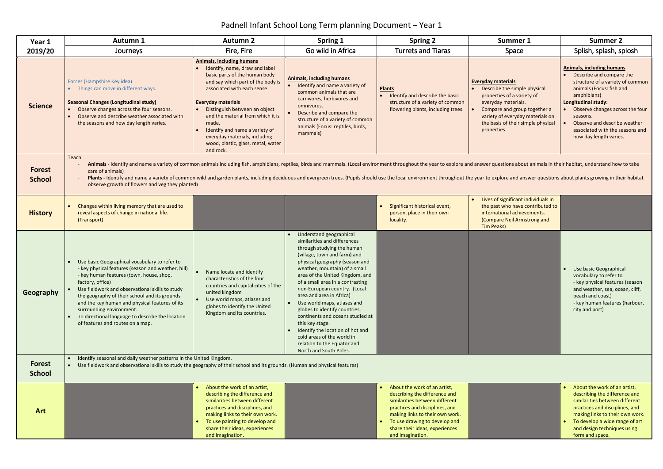## Padnell Infant School Long Term planning Document – Year 1

| Year 1                         | <b>Autumn 1</b>                                                                                                                                                                                                                                                                                                                                                                                                                                                                                                                                  | <b>Autumn 2</b>                                                                                                                                                                                                                                                                                                                                                                                                        | <b>Spring 1</b>                                                                                                                                                                                                                                                                                                                                                                                                                                                                                                                                                               | <b>Spring 2</b>                                                                                                                                                                                                                                               | Summer 1                                                                                                                                                                                                                                | <b>Summer 2</b>                                                                                                                                                                                                                                                                                                |
|--------------------------------|--------------------------------------------------------------------------------------------------------------------------------------------------------------------------------------------------------------------------------------------------------------------------------------------------------------------------------------------------------------------------------------------------------------------------------------------------------------------------------------------------------------------------------------------------|------------------------------------------------------------------------------------------------------------------------------------------------------------------------------------------------------------------------------------------------------------------------------------------------------------------------------------------------------------------------------------------------------------------------|-------------------------------------------------------------------------------------------------------------------------------------------------------------------------------------------------------------------------------------------------------------------------------------------------------------------------------------------------------------------------------------------------------------------------------------------------------------------------------------------------------------------------------------------------------------------------------|---------------------------------------------------------------------------------------------------------------------------------------------------------------------------------------------------------------------------------------------------------------|-----------------------------------------------------------------------------------------------------------------------------------------------------------------------------------------------------------------------------------------|----------------------------------------------------------------------------------------------------------------------------------------------------------------------------------------------------------------------------------------------------------------------------------------------------------------|
| 2019/20                        | Journeys                                                                                                                                                                                                                                                                                                                                                                                                                                                                                                                                         | Fire, Fire                                                                                                                                                                                                                                                                                                                                                                                                             | Go wild in Africa                                                                                                                                                                                                                                                                                                                                                                                                                                                                                                                                                             | <b>Turrets and Tiaras</b>                                                                                                                                                                                                                                     | <b>Space</b>                                                                                                                                                                                                                            | Splish, splash, splosh                                                                                                                                                                                                                                                                                         |
| <b>Science</b>                 | Forces (Hampshire Key idea)<br>• Things can move in different ways.<br><b>Seasonal Changes (Longitudinal study)</b><br>Observe changes across the four seasons.<br>Observe and describe weather associated with<br>the seasons and how day length varies.                                                                                                                                                                                                                                                                                        | <b>Animals, including humans</b><br>Identify, name, draw and label<br>basic parts of the human body<br>and say which part of the body is<br>associated with each sense.<br><b>Everyday materials</b><br>Distinguish between an object<br>$\bullet$<br>and the material from which it is<br>made.<br>Identify and name a variety of<br>everyday materials, including<br>wood, plastic, glass, metal, water<br>and rock. | <b>Animals, including humans</b><br>Identify and name a variety of<br>common animals that are<br>carnivores, herbivores and<br>omnivores.<br>Describe and compare the<br>structure of a variety of common<br>animals (Focus: reptiles, birds,<br>mammals)                                                                                                                                                                                                                                                                                                                     | <b>Plants</b><br>Identify and describe the basic<br>structure of a variety of common<br>flowering plants, including trees.                                                                                                                                    | <b>Everyday materials</b><br>Describe the simple physical<br>properties of a variety of<br>everyday materials.<br>Compare and group together a<br>variety of everyday materials on<br>the basis of their simple physical<br>properties. | <b>Animals, including humans</b><br>Describe and compare the<br>structure of a variety of common<br>animals (Focus: fish and<br>amphibians)<br>Longitudinal study:<br>Observe changes across the four<br>seasons.<br>Observe and describe weather<br>associated with the seasons and<br>how day length varies. |
| <b>Forest</b><br><b>School</b> | Teach<br>Animals - Identify and name a variety of common animals including fish, amphibians, reptiles, birds and mammals. (Local environment throughout the year to explore and answer questions about animals in their habitat, unders<br>care of animals)<br>Plants - Identify and name a variety of common wild and garden plants, including deciduous and evergreen trees. (Pupils should use the local environment throughout the year to explore and answer questions about plants grow<br>observe growth of flowers and veg they planted) |                                                                                                                                                                                                                                                                                                                                                                                                                        |                                                                                                                                                                                                                                                                                                                                                                                                                                                                                                                                                                               |                                                                                                                                                                                                                                                               |                                                                                                                                                                                                                                         |                                                                                                                                                                                                                                                                                                                |
| <b>History</b>                 | Changes within living memory that are used to<br>reveal aspects of change in national life.<br>(Transport)                                                                                                                                                                                                                                                                                                                                                                                                                                       |                                                                                                                                                                                                                                                                                                                                                                                                                        |                                                                                                                                                                                                                                                                                                                                                                                                                                                                                                                                                                               | Significant historical event,<br>person, place in their own<br>locality.                                                                                                                                                                                      | Lives of significant individuals in<br>the past who have contributed to<br>international achievements.<br>(Compare Neil Armstrong and<br>Tim Peaks)                                                                                     |                                                                                                                                                                                                                                                                                                                |
| Geography                      | Use basic Geographical vocabulary to refer to<br>- key physical features (season and weather, hill)<br>- key human features (town, house, shop,<br>factory, office)<br>Use fieldwork and observational skills to study<br>the geography of their school and its grounds<br>and the key human and physical features of its<br>surrounding environment.<br>To directional language to describe the location<br>of features and routes on a map.                                                                                                    | Name locate and identify<br>characteristics of the four<br>countries and capital cities of the<br>united kingdom<br>Use world maps, atlases and<br>globes to identify the United<br>Kingdom and its countries.                                                                                                                                                                                                         | Understand geographical<br>similarities and differences<br>through studying the human<br>(village, town and farm) and<br>physical geography (season and<br>weather, mountain) of a small<br>area of the United Kingdom, and<br>of a small area in a contrasting<br>non-European country. (Local<br>area and area in Africa)<br>Use world maps, atlases and<br>globes to identify countries,<br>continents and oceans studied at<br>this key stage.<br>Identify the location of hot and<br>cold areas of the world in<br>relation to the Equator and<br>North and South Poles. |                                                                                                                                                                                                                                                               |                                                                                                                                                                                                                                         | Use basic Geographical<br>vocabulary to refer to<br>- key physical features (season<br>and weather, sea, ocean, cliff,<br>beach and coast)<br>- key human features (harbour,<br>city and port)                                                                                                                 |
| Forest<br><b>School</b>        | Identify seasonal and daily weather patterns in the United Kingdom.<br>Use fieldwork and observational skills to study the geography of their school and its grounds. (Human and physical features)                                                                                                                                                                                                                                                                                                                                              |                                                                                                                                                                                                                                                                                                                                                                                                                        |                                                                                                                                                                                                                                                                                                                                                                                                                                                                                                                                                                               |                                                                                                                                                                                                                                                               |                                                                                                                                                                                                                                         |                                                                                                                                                                                                                                                                                                                |
| Art                            |                                                                                                                                                                                                                                                                                                                                                                                                                                                                                                                                                  | About the work of an artist,<br>describing the difference and<br>similarities between different<br>practices and disciplines, and<br>making links to their own work.<br>To use painting to develop and<br>$\bullet$<br>share their ideas, experiences<br>and imagination.                                                                                                                                              |                                                                                                                                                                                                                                                                                                                                                                                                                                                                                                                                                                               | • About the work of an artist,<br>describing the difference and<br>similarities between different<br>practices and disciplines, and<br>making links to their own work.<br>To use drawing to develop and<br>share their ideas, experiences<br>and imagination. |                                                                                                                                                                                                                                         | About the work of an artist,<br>describing the difference and<br>similarities between different<br>practices and disciplines, and<br>making links to their own work.<br>To develop a wide range of art<br>$\bullet$<br>and design techniques using<br>form and space.                                          |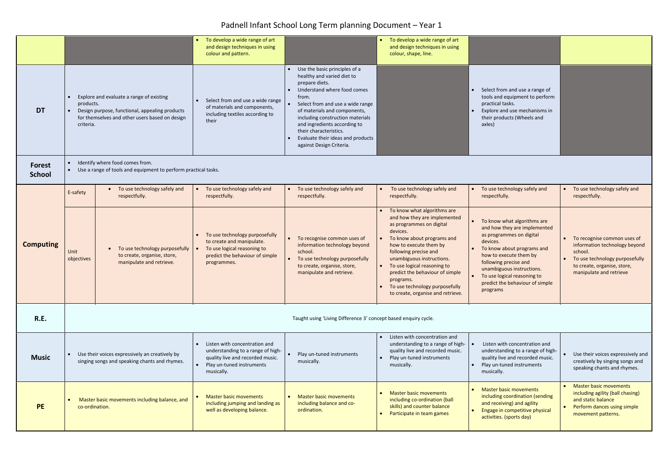## Padnell Infant School Long Term planning Document – Year 1

|                         |                                                                                                                                                         |                                                                                                                                              | To develop a wide range of art<br>and design techniques in using<br>colour and pattern.                                                      |                                                                                                                                                                                                                                                                                                                                                                       | To develop a wide range of art<br>and design techniques in using<br>colour, shape, line.                                                                                                                                                                                                                                                                                |                                                                                                                                                                                                                                                                                                 |                                                                                                                                                                     |
|-------------------------|---------------------------------------------------------------------------------------------------------------------------------------------------------|----------------------------------------------------------------------------------------------------------------------------------------------|----------------------------------------------------------------------------------------------------------------------------------------------|-----------------------------------------------------------------------------------------------------------------------------------------------------------------------------------------------------------------------------------------------------------------------------------------------------------------------------------------------------------------------|-------------------------------------------------------------------------------------------------------------------------------------------------------------------------------------------------------------------------------------------------------------------------------------------------------------------------------------------------------------------------|-------------------------------------------------------------------------------------------------------------------------------------------------------------------------------------------------------------------------------------------------------------------------------------------------|---------------------------------------------------------------------------------------------------------------------------------------------------------------------|
| <b>DT</b>               | products.<br>criteria.                                                                                                                                  | Explore and evaluate a range of existing<br>Design purpose, functional, appealing products<br>for themselves and other users based on design | Select from and use a wide range<br>of materials and components,<br>including textiles according to<br>their                                 | Use the basic principles of a<br>healthy and varied diet to<br>prepare diets.<br>Understand where food comes<br>from.<br>Select from and use a wide range<br>$\bullet$<br>of materials and components,<br>including construction materials<br>and ingredients according to<br>their characteristics.<br>Evaluate their ideas and products<br>against Design Criteria. |                                                                                                                                                                                                                                                                                                                                                                         | Select from and use a range of<br>tools and equipment to perform<br>practical tasks.<br>Explore and use mechanisms in<br>their products (Wheels and<br>axles)                                                                                                                                   |                                                                                                                                                                     |
| Forest<br><b>School</b> | Identify where food comes from.<br>Use a range of tools and equipment to perform practical tasks.                                                       |                                                                                                                                              |                                                                                                                                              |                                                                                                                                                                                                                                                                                                                                                                       |                                                                                                                                                                                                                                                                                                                                                                         |                                                                                                                                                                                                                                                                                                 |                                                                                                                                                                     |
|                         | E-safety                                                                                                                                                | To use technology safely and<br>respectfully.                                                                                                | To use technology safely and<br>respectfully.                                                                                                | To use technology safely and<br>respectfully.                                                                                                                                                                                                                                                                                                                         | To use technology safely and<br>respectfully.                                                                                                                                                                                                                                                                                                                           | To use technology safely and<br>respectfully.                                                                                                                                                                                                                                                   | To use technology safely and<br>respectfully.                                                                                                                       |
| <b>Computing</b>        | Unit<br>objectives                                                                                                                                      | To use technology purposefully<br>to create, organise, store,<br>manipulate and retrieve.                                                    | To use technology purposefully<br>to create and manipulate.<br>To use logical reasoning to<br>predict the behaviour of simple<br>programmes. | To recognise common uses of<br>$\bullet$<br>information technology beyond<br>school.<br>To use technology purposefully<br>$\bullet$<br>to create, organise, store,<br>manipulate and retrieve.                                                                                                                                                                        | To know what algorithms are<br>and how they are implemented<br>as programmes on digital<br>devices.<br>To know about programs and<br>how to execute them by<br>following precise and<br>unambiguous instructions.<br>To use logical reasoning to<br>predict the behaviour of simple<br>programs.<br>To use technology purposefully<br>to create, organise and retrieve. | To know what algorithms are<br>and how they are implemented<br>as programmes on digital<br>devices.<br>To know about programs and<br>how to execute them by<br>following precise and<br>unambiguous instructions.<br>To use logical reasoning to<br>predict the behaviour of simple<br>programs | To recognise common uses of<br>information technology beyond<br>school.<br>To use technology purposefully<br>to create, organise, store,<br>manipulate and retrieve |
| <b>R.E.</b>             | Taught using 'Living Difference 3' concept based enquiry cycle.                                                                                         |                                                                                                                                              |                                                                                                                                              |                                                                                                                                                                                                                                                                                                                                                                       |                                                                                                                                                                                                                                                                                                                                                                         |                                                                                                                                                                                                                                                                                                 |                                                                                                                                                                     |
| <b>Music</b>            | Use their voices expressively an creatively by<br>$\bullet$<br>singing songs and speaking chants and rhymes.<br>Play un-tuned instruments<br>musically. |                                                                                                                                              | Listen with concentration and<br>understanding to a range of high-<br>quality live and recorded music.                                       | Play un-tuned instruments<br>musically.                                                                                                                                                                                                                                                                                                                               | Listen with concentration and<br>understanding to a range of high-<br>quality live and recorded music.<br>Play un-tuned instruments<br>musically.                                                                                                                                                                                                                       | Listen with concentration and<br>understanding to a range of high-<br>quality live and recorded music.<br>Play un-tuned instruments<br>musically.                                                                                                                                               | Use their voices expressively and<br>creatively by singing songs and<br>speaking chants and rhymes.                                                                 |
| <b>PE</b>               | Master basic movements including balance, and<br>co-ordination.                                                                                         |                                                                                                                                              | <b>Master basic movements</b><br>including jumping and landing as<br>well as developing balance.                                             | <b>Master basic movements</b><br>including balance and co-<br>ordination.                                                                                                                                                                                                                                                                                             | <b>Master basic movements</b><br>including co-ordination (ball<br>skills) and counter balance<br>Participate in team games                                                                                                                                                                                                                                              | Master basic movements<br>including coordination (sending<br>and receiving) and agility<br>Engage in competitive physical<br>activities. (sports day)                                                                                                                                           | <b>Master basic movements</b><br>including agility (ball chasing)<br>and static balance<br>Perform dances using simple<br>movement patterns.                        |